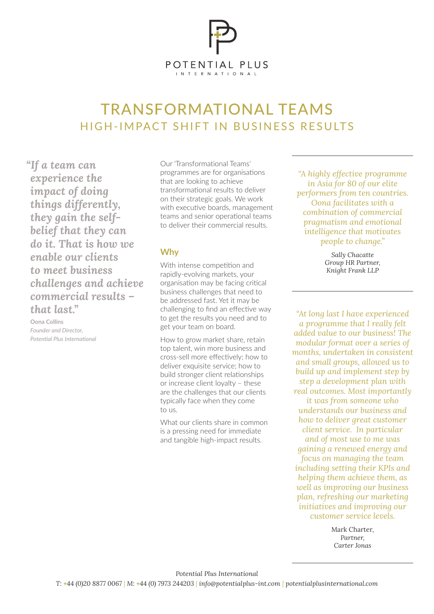

# TRANSFORMATIONAL TEAMS HIGH-IMPACT SHIFT IN BUSINESS RESULTS

*"If a team can experience the impact of doing things differently, they gain the selfbelief that they can do it. That is how we enable our clients to meet business challenges and achieve commercial results – that last."*

**Oona Collins** *Founder and Director, Potential Plus International* Our 'Transformational Teams' programmes are for organisations that are looking to achieve transformational results to deliver on their strategic goals. We work with executive boards, management teams and senior operational teams to deliver their commercial results.

## **Why**

With intense competition and rapidly-evolving markets, your organisation may be facing critical business challenges that need to be addressed fast. Yet it may be challenging to find an effective way to get the results you need and to get your team on board.

How to grow market share, retain top talent, win more business and cross-sell more effectively; how to deliver exquisite service; how to build stronger client relationships or increase client loyalty – these are the challenges that our clients typically face when they come to us.

What our clients share in common is a pressing need for immediate and tangible high-impact results.

*"A highly effective programme in Asia for 80 of our elite performers from ten countries. Oona facilitates with a combination of commercial pragmatism and emotional intelligence that motivates people to change."*

> *Sally Chacatte Group HR Partner, Knight Frank LLP*

*"At long last I have experienced a programme that I really felt added value to our business! The modular format over a series of months, undertaken in consistent and small groups, allowed us to build up and implement step by step a development plan with real outcomes. Most importantly it was from someone who understands our business and how to deliver great customer client service. In particular and of most use to me was gaining a renewed energy and focus on managing the team including setting their KPIs and helping them achieve them, as well as improving our business plan, refreshing our marketing initiatives and improving our customer service levels.*

> Mark Charter, *Partner, Carter Jonas*

*Potential Plus International*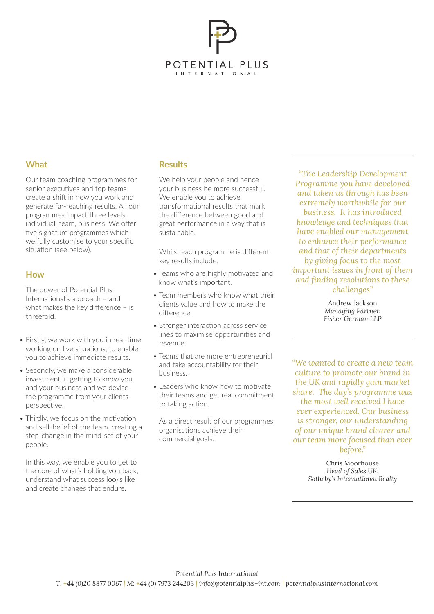

## **What**

Our team coaching programmes for senior executives and top teams create a shift in how you work and generate far-reaching results. All our programmes impact three levels: individual, team, business. We offer five signature programmes which we fully customise to your specific situation (see below).

#### **How**

The power of Potential Plus International's approach – and what makes the key difference – is threefold.

- Firstly, we work with you in real-time, working on live situations, to enable you to achieve immediate results.
- Secondly, we make a considerable investment in getting to know you and your business and we devise the programme from your clients' perspective.
- Thirdly, we focus on the motivation and self-belief of the team, creating a step-change in the mind-set of your people.

In this way, we enable you to get to the core of what's holding you back, understand what success looks like and create changes that endure.

## **Results**

We help your people and hence your business be more successful. We enable you to achieve transformational results that mark the difference between good and great performance in a way that is sustainable.

Whilst each programme is different, key results include:

- Teams who are highly motivated and know what's important.
- Team members who know what their clients value and how to make the difference.
- Stronger interaction across service lines to maximise opportunities and revenue.
- Teams that are more entrepreneurial and take accountability for their business.
- Leaders who know how to motivate their teams and get real commitment to taking action.

As a direct result of our programmes, organisations achieve their commercial goals.

*"The Leadership Development Programme you have developed and taken us through has been extremely worthwhile for our business. It has introduced knowledge and techniques that have enabled our management to enhance their performance and that of their departments by giving focus to the most important issues in front of them and finding resolutions to these challenges"*

> Andrew Jackson *Managing Partner, Fisher German LLP*

*"We wanted to create a new team culture to promote our brand in the UK and rapidly gain market share. The day's programme was the most well received I have ever experienced. Our business is stronger, our understanding of our unique brand clearer and our team more focused than ever before."*

> Chris Moorhouse *Head of Sales UK, Sotheby's International Realty*